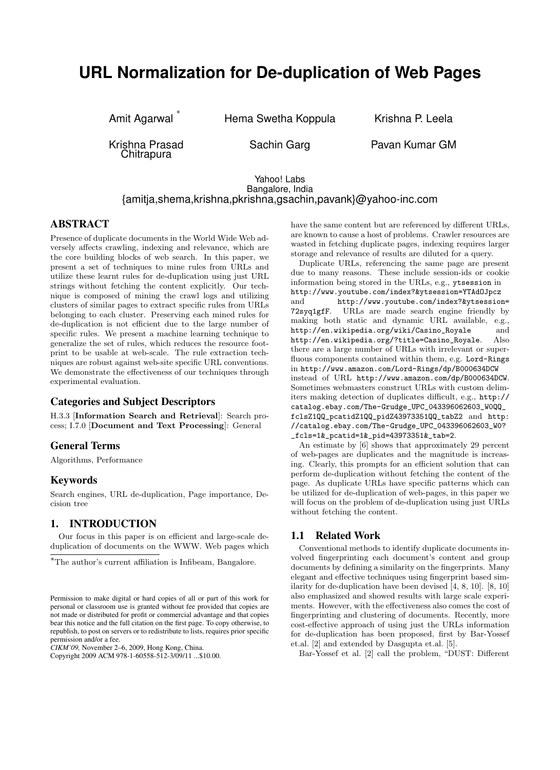# **URL Normalization for De-duplication of Web Pages**

Amit Agarwal ∗

Hema Swetha Koppula Krishna P. Leela

Krishna Prasad Chitrapura

Sachin Garg **Pavan Kumar GM** 

## Yahoo! Labs Bangalore, India {amitja,shema,krishna,pkrishna,gsachin,pavank}@yahoo-inc.com

# ABSTRACT

Presence of duplicate documents in the World Wide Web adversely affects crawling, indexing and relevance, which are the core building blocks of web search. In this paper, we present a set of techniques to mine rules from URLs and utilize these learnt rules for de-duplication using just URL strings without fetching the content explicitly. Our technique is composed of mining the crawl logs and utilizing clusters of similar pages to extract specific rules from URLs belonging to each cluster. Preserving each mined rules for de-duplication is not efficient due to the large number of specific rules. We present a machine learning technique to generalize the set of rules, which reduces the resource footprint to be usable at web-scale. The rule extraction techniques are robust against web-site specific URL conventions. We demonstrate the effectiveness of our techniques through experimental evaluation.

# Categories and Subject Descriptors

H.3.3 [Information Search and Retrieval]: Search process; I.7.0 [Document and Text Processing]: General

# General Terms

Algorithms, Performance

## Keywords

Search engines, URL de-duplication, Page importance, Decision tree

# 1. INTRODUCTION

Our focus in this paper is on efficient and large-scale deduplication of documents on the WWW. Web pages which

*CIKM'09,* November 2–6, 2009, Hong Kong, China.

Copyright 2009 ACM 978-1-60558-512-3/09/11 ...\$10.00.

have the same content but are referenced by different URLs, are known to cause a host of problems. Crawler resources are wasted in fetching duplicate pages, indexing requires larger storage and relevance of results are diluted for a query.

Duplicate URLs, referencing the same page are present due to many reasons. These include session-ids or cookie information being stored in the URLs, e.g., ytsession in http://www.youtube.com/index?&ytsession=YTAdOJpcz and http://www.youtube.com/index?&ytsession= 72syq1gfF. URLs are made search engine friendly by making both static and dynamic URL available, e.g., http://en.wikipedia.org/wiki/Casino\_Royale and http://en.wikipedia.org/?title=Casino\_Royale. Also there are a large number of URLs with irrelevant or superfluous components contained within them, e.g. Lord-Rings in http://www.amazon.com/Lord-Rings/dp/B000634DCW instead of URL http://www.amazon.com/dp/B000634DCW. Sometimes webmasters construct URLs with custom delimiters making detection of duplicates difficult, e.g., http:// catalog.ebay.com/The-Grudge\_UPC\_043396062603\_W0QQ\_ fclsZ1QQ\_pcatidZ1QQ\_pidZ43973351QQ\_tabZ2 and http: //catalog.ebay.com/The-Grudge\_UPC\_043396062603\_W0? \_fcls=1&\_pcatid=1&\_pid=43973351&\_tab=2.

An estimate by [6] shows that approximately 29 percent of web-pages are duplicates and the magnitude is increasing. Clearly, this prompts for an efficient solution that can perform de-duplication without fetching the content of the page. As duplicate URLs have specific patterns which can be utilized for de-duplication of web-pages, in this paper we will focus on the problem of de-duplication using just URLs without fetching the content.

## 1.1 Related Work

Conventional methods to identify duplicate documents involved fingerprinting each document's content and group documents by defining a similarity on the fingerprints. Many elegant and effective techniques using fingerprint based similarity for de-duplication have been devised [4, 8, 10]. [8, 10] also emphasized and showed results with large scale experiments. However, with the effectiveness also comes the cost of fingerprinting and clustering of documents. Recently, more cost-effective approach of using just the URLs information for de-duplication has been proposed, first by Bar-Yossef et.al. [2] and extended by Dasgupta et.al. [5].

Bar-Yossef et al. [2] call the problem, "DUST: Different

<sup>∗</sup>The author's current affiliation is Infibeam, Bangalore.

Permission to make digital or hard copies of all or part of this work for personal or classroom use is granted without fee provided that copies are not made or distributed for profit or commercial advantage and that copies bear this notice and the full citation on the first page. To copy otherwise, to republish, to post on servers or to redistribute to lists, requires prior specific permission and/or a fee.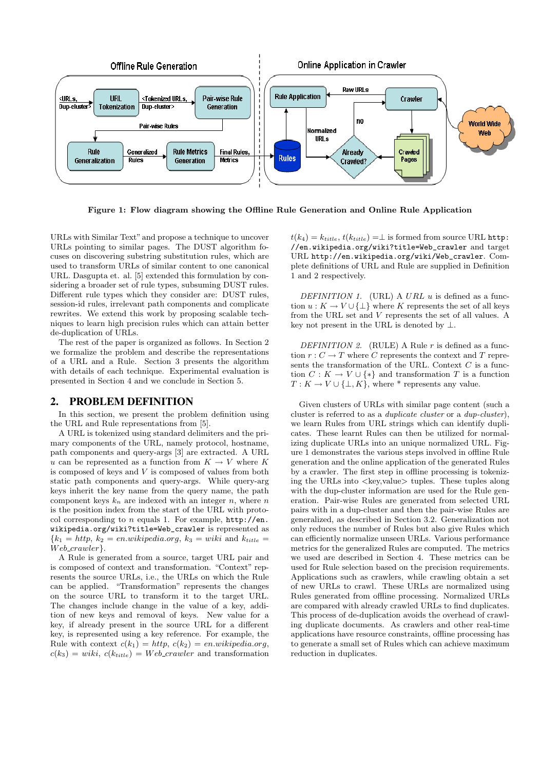

Figure 1: Flow diagram showing the Offline Rule Generation and Online Rule Application

URLs with Similar Text" and propose a technique to uncover URLs pointing to similar pages. The DUST algorithm focuses on discovering substring substitution rules, which are used to transform URLs of similar content to one canonical URL. Dasgupta et. al. [5] extended this formulation by considering a broader set of rule types, subsuming DUST rules. Different rule types which they consider are: DUST rules, session-id rules, irrelevant path components and complicate rewrites. We extend this work by proposing scalable techniques to learn high precision rules which can attain better de-duplication of URLs.

The rest of the paper is organized as follows. In Section 2 we formalize the problem and describe the representations of a URL and a Rule. Section 3 presents the algorithm with details of each technique. Experimental evaluation is presented in Section 4 and we conclude in Section 5.

### 2. PROBLEM DEFINITION

In this section, we present the problem definition using the URL and Rule representations from [5].

A URL is tokenized using standard delimiters and the primary components of the URL, namely protocol, hostname, path components and query-args [3] are extracted. A URL u can be represented as a function from  $K \to V$  where K is composed of keys and V is composed of values from both static path components and query-args. While query-arg keys inherit the key name from the query name, the path component keys  $k_n$  are indexed with an integer n, where n is the position index from the start of the URL with protocol corresponding to  $n$  equals 1. For example,  $http://en.$ wikipedia.org/wiki?title=Web\_crawler is represented as  ${k_1 = http, k_2 = en.wikipedia.org, k_3 = wiki and k_{title}}$  $Web\_crawler$ .

A Rule is generated from a source, target URL pair and is composed of context and transformation. "Context" represents the source URLs, i.e., the URLs on which the Rule can be applied. "Transformation" represents the changes on the source URL to transform it to the target URL. The changes include change in the value of a key, addition of new keys and removal of keys. New value for a key, if already present in the source URL for a different key, is represented using a key reference. For example, the Rule with context  $c(k_1) = http, c(k_2) = en.wikipedia.org$ ,  $c(k_3) = wiki, c(k_{title}) = Web\_crawler$  and transformation

 $t(k_4) = k_{title}, t(k_{title}) = \perp$  is formed from source URL http: //en.wikipedia.org/wiki?title=Web\_crawler and target URL http://en.wikipedia.org/wiki/Web\_crawler. Complete definitions of URL and Rule are supplied in Definition 1 and 2 respectively.

DEFINITION 1. (URL) A URL  $u$  is defined as a function  $u : K \to V \cup \{\perp\}$  where K represents the set of all keys from the URL set and V represents the set of all values. A key not present in the URL is denoted by  $\perp$ .

DEFINITION 2. (RULE) A Rule  $r$  is defined as a function  $r: C \to T$  where C represents the context and T represents the transformation of the URL. Context  $C$  is a function  $C: K \to V \cup \{*\}$  and transformation T is a function  $T: K \to V \cup \{\perp, K\}$ , where \* represents any value.

Given clusters of URLs with similar page content (such a cluster is referred to as a duplicate cluster or a dup-cluster), we learn Rules from URL strings which can identify duplicates. These learnt Rules can then be utilized for normalizing duplicate URLs into an unique normalized URL. Figure 1 demonstrates the various steps involved in offline Rule generation and the online application of the generated Rules by a crawler. The first step in offline processing is tokenizing the URLs into  $\langle$ key,value $\rangle$  tuples. These tuples along with the dup-cluster information are used for the Rule generation. Pair-wise Rules are generated from selected URL pairs with in a dup-cluster and then the pair-wise Rules are generalized, as described in Section 3.2. Generalization not only reduces the number of Rules but also give Rules which can efficiently normalize unseen URLs. Various performance metrics for the generalized Rules are computed. The metrics we used are described in Section 4. These metrics can be used for Rule selection based on the precision requirements. Applications such as crawlers, while crawling obtain a set of new URLs to crawl. These URLs are normalized using Rules generated from offline processing. Normalized URLs are compared with already crawled URLs to find duplicates. This process of de-duplication avoids the overhead of crawling duplicate documents. As crawlers and other real-time applications have resource constraints, offline processing has to generate a small set of Rules which can achieve maximum reduction in duplicates.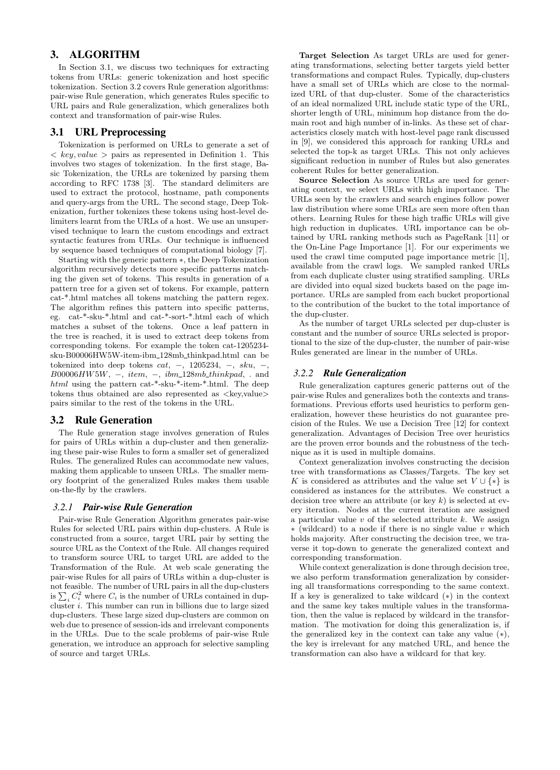# 3. ALGORITHM

In Section 3.1, we discuss two techniques for extracting tokens from URLs: generic tokenization and host specific tokenization. Section 3.2 covers Rule generation algorithms: pair-wise Rule generation, which generates Rules specific to URL pairs and Rule generalization, which generalizes both context and transformation of pair-wise Rules.

#### 3.1 URL Preprocessing

Tokenization is performed on URLs to generate a set of  $\langle key, value \rangle$  pairs as represented in Definition 1. This involves two stages of tokenization. In the first stage, Basic Tokenization, the URLs are tokenized by parsing them according to RFC 1738 [3]. The standard delimiters are used to extract the protocol, hostname, path components and query-args from the URL. The second stage, Deep Tokenization, further tokenizes these tokens using host-level delimiters learnt from the URLs of a host. We use an unsupervised technique to learn the custom encodings and extract syntactic features from URLs. Our technique is influenced by sequence based techniques of computational biology [7].

Starting with the generic pattern ∗, the Deep Tokenization algorithm recursively detects more specific patterns matching the given set of tokens. This results in generation of a pattern tree for a given set of tokens. For example, pattern cat-\*.html matches all tokens matching the pattern regex. The algorithm refines this pattern into specific patterns, eg. cat-\*-sku-\*.html and cat-\*-sort-\*.html each of which matches a subset of the tokens. Once a leaf pattern in the tree is reached, it is used to extract deep tokens from corresponding tokens. For example the token cat-1205234 sku-B00006HW5W-item-ibm 128mb thinkpad.html can be tokenized into deep tokens  $cat, -1205234, -18ku, -1$  $B00006HW5W, -$ , item,  $-$ , ibm\_128mb\_thinkpad, . and html using the pattern cat-\*-sku-\*-item-\*.html. The deep tokens thus obtained are also represented as  $\langle$ key,value $\rangle$ pairs similar to the rest of the tokens in the URL.

#### 3.2 Rule Generation

The Rule generation stage involves generation of Rules for pairs of URLs within a dup-cluster and then generalizing these pair-wise Rules to form a smaller set of generalized Rules. The generalized Rules can accommodate new values, making them applicable to unseen URLs. The smaller memory footprint of the generalized Rules makes them usable on-the-fly by the crawlers.

#### *3.2.1 Pair-wise Rule Generation*

Pair-wise Rule Generation Algorithm generates pair-wise Rules for selected URL pairs within dup-clusters. A Rule is constructed from a source, target URL pair by setting the source URL as the Context of the Rule. All changes required to transform source URL to target URL are added to the Transformation of the Rule. At web scale generating the pair-wise Rules for all pairs of URLs within a dup-cluster is not feasible. The number of URL pairs in all the dup-clusters not reasible. The number of URL pairs in all the dup-clusters<br>is  $\sum_i C_i^2$  where  $C_i$  is the number of URLs contained in dupcluster  $i$ . This number can run in billions due to large sized dup-clusters. These large sized dup-clusters are common on web due to presence of session-ids and irrelevant components in the URLs. Due to the scale problems of pair-wise Rule generation, we introduce an approach for selective sampling of source and target URLs.

Target Selection As target URLs are used for generating transformations, selecting better targets yield better transformations and compact Rules. Typically, dup-clusters have a small set of URLs which are close to the normalized URL of that dup-cluster. Some of the characteristics of an ideal normalized URL include static type of the URL, shorter length of URL, minimum hop distance from the domain root and high number of in-links. As these set of characteristics closely match with host-level page rank discussed in [9], we considered this approach for ranking URLs and selected the top-k as target URLs. This not only achieves significant reduction in number of Rules but also generates coherent Rules for better generalization.

Source Selection As source URLs are used for generating context, we select URLs with high importance. The URLs seen by the crawlers and search engines follow power law distribution where some URLs are seen more often than others. Learning Rules for these high traffic URLs will give high reduction in duplicates. URL importance can be obtained by URL ranking methods such as PageRank [11] or the On-Line Page Importance [1]. For our experiments we used the crawl time computed page importance metric [1], available from the crawl logs. We sampled ranked URLs from each duplicate cluster using stratified sampling. URLs are divided into equal sized buckets based on the page importance. URLs are sampled from each bucket proportional to the contribution of the bucket to the total importance of the dup-cluster.

As the number of target URLs selected per dup-cluster is constant and the number of source URLs selected is proportional to the size of the dup-cluster, the number of pair-wise Rules generated are linear in the number of URLs.

#### *3.2.2 Rule Generalization*

Rule generalization captures generic patterns out of the pair-wise Rules and generalizes both the contexts and transformations. Previous efforts used heuristics to perform generalization, however these heuristics do not guarantee precision of the Rules. We use a Decision Tree [12] for context generalization. Advantages of Decision Tree over heuristics are the proven error bounds and the robustness of the technique as it is used in multiple domains.

Context generalization involves constructing the decision tree with transformations as Classes/Targets. The key set K is considered as attributes and the value set  $V \cup \{*\}$  is considered as instances for the attributes. We construct a decision tree where an attribute (or key  $k$ ) is selected at every iteration. Nodes at the current iteration are assigned a particular value  $v$  of the selected attribute  $k$ . We assign ∗ (wildcard) to a node if there is no single value v which holds majority. After constructing the decision tree, we traverse it top-down to generate the generalized context and corresponding transformation.

While context generalization is done through decision tree, we also perform transformation generalization by considering all transformations corresponding to the same context. If a key is generalized to take wildcard (∗) in the context and the same key takes multiple values in the transformation, then the value is replaced by wildcard in the transformation. The motivation for doing this generalization is, if the generalized key in the context can take any value  $(*),$ the key is irrelevant for any matched URL, and hence the transformation can also have a wildcard for that key.